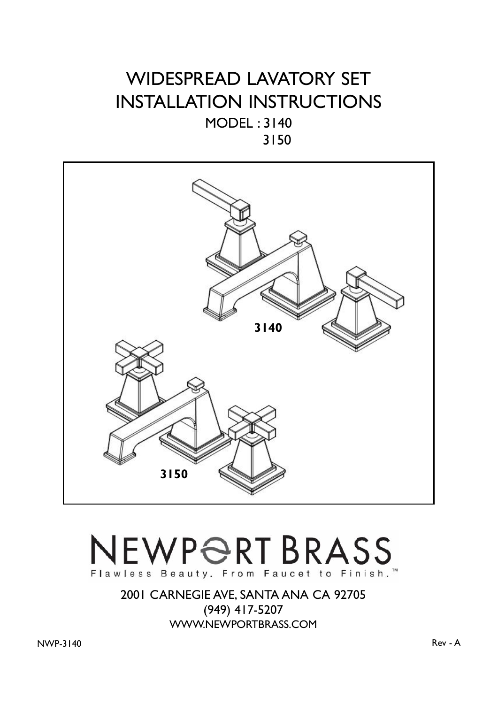## WIDESPREAD LAVATORY SET INSTALLATION INSTRUCTIONS MODEL : 3140

3150



## NEWPORT BRASS Flawless Beauty. From Faucet to Finish.<sup>™</sup>

2001 CARNEGIE AVE, SANTA ANA CA 92705 (949) 417-5207 WWW.NEWPORTBRASS.COM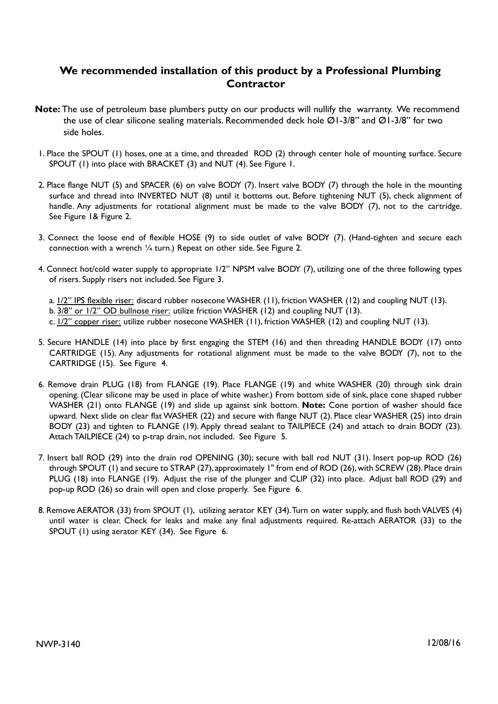## **We recommended installation of this product by a Professional Plumbing Contractor**

- **Note:** The use of petroleum base plumbers putty on our products will nullify the warranty. We recommend the use of clear silicone sealing materials. Recommended deck hole Ø1-3/8" and Ø1-3/8" for two side holes.
- 1. Place the SPOUT (1) hoses, one at a time, and threaded ROD (2) through center hole of mounting surface. Secure SPOUT (1) into place with BRACKET (3) and NUT (4). See Figure 1.
- 2. Place flange NUT (5) and SPACER (6) on valve BODY (7). Insert valve BODY (7) through the hole in the mounting surface and thread into INVERTED NUT (8) until it bottoms out. Before tightening NUT (5), check alignment of handle. Any adjustments for rotational alignment must be made to the valve BODY (7), not to the cartridge. See Figure 1& Figure 2.
- 3. Connect the loose end of flexible HOSE (9) to side outlet of valve BODY (7). (Hand-tighten and secure each connection with a wrench ¼ turn.) Repeat on other side. See Figure 2.
- 4. Connect hot/cold water supply to appropriate 1/2" NPSM valve BODY (7), utilizing one of the three following types of risers. Supply risers not included. See Figure 3.
	- a.  $1/2$ " IPS flexible riser: discard rubber nosecone WASHER (11), friction WASHER (12) and coupling NUT (13).
	- b. 3/8" or 1/2" OD bullnose riser: utilize friction WASHER (12) and coupling NUT (13).
	- c. 1/2" copper riser: utilize rubber nosecone WASHER (11), friction WASHER (12) and coupling NUT (13).
- 5. Secure HANDLE (14) into place by first engaging the STEM (16) and then threading HANDLE BODY (17) onto CARTRIDGE (15). Any adjustments for rotational alignment must be made to the valve BODY (7), not to the CARTRIDGE (15). See Figure 4.
- 6. Remove drain PLUG (18) from FLANGE (19). Place FLANGE (19) and white WASHER (20) through sink drain opening. (Clear silicone may be used in place of white washer.) From bottom side of sink, place cone shaped rubber WASHER (21) onto FLANGE (19) and slide up against sink bottom. **Note:** Cone portion of washer should face upward*.* Next slide on clear flat WASHER (22) and secure with flange NUT (2). Place clear WASHER (25) into drain BODY (23) and tighten to FLANGE (19). Apply thread sealant to TAILPIECE (24) and attach to drain BODY (23). Attach TAILPIECE (24) to p-trap drain, not included. See Figure 5.
- 7. Insert ball ROD (29) into the drain rod OPENING (30); secure with ball rod NUT (31). Insert pop-up ROD (26) through SPOUT (1) and secure to STRAP (27), approximately 1" from end of ROD (26), with SCREW (28). Place drain PLUG (18) into FLANGE (19). Adjust the rise of the plunger and CLIP (32) into place. Adjust ball ROD (29) and pop-up ROD (26) so drain will open and close properly. See Figure 6.
- 8. Remove AERATOR (33) from SPOUT (1), utilizing aerator KEY (34). Turn on water supply, and flush both VALVES (4) until water is clear. Check for leaks and make any final adjustments required. Re-attach AERATOR (33) to the SPOUT (1) using aerator KEY (34). See Figure 6.